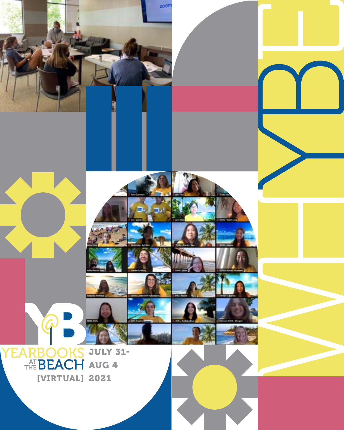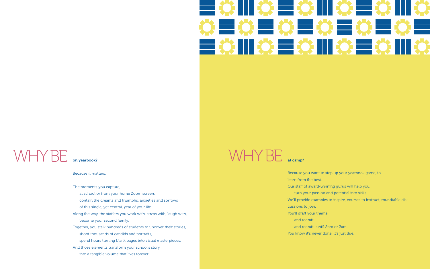

### **WHYBE**

Because it matters.

The moments you capture,

- at school or from your home Zoom screen,
- contain the dreams and triumphs, anxieties and sorrows
- of this single, yet central, year of your life.
- Along the way, the staffers you work with, stress with, laugh with, become your second family.
- Together, you stalk hundreds of students to uncover their stories,
	- shoot thousands of candids and portraits,
	- spend hours turning blank pages into visual masterpieces.
- And those elements transform your school's story
	- into a tangible volume that lives forever.

 $W + Y BE$  at camp?

on yearbook?

Because you want to step up your yearbook game, to

learn from the best.

Our staff of award-winning gurus will help you

turn your passion and potential into skills.

We'll provide examples to inspire, courses to instruct, roundtable dis-

cussions to join.

- You'll draft your theme
	- and redraft
- and redraft…until 2pm or 2am. You know it's never done; it's just due.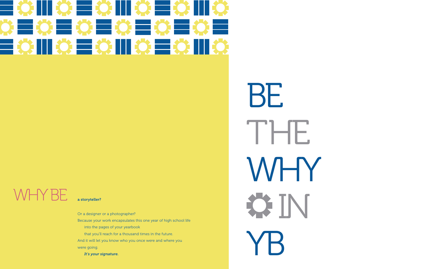### $\blacksquare$  $\circ = \circ \mathbf{m} \circ \mathbf{m} \circ \mathbf{m}$ ■ 第 ■ 第 ■ 第 ■ 第 ■ 第 ■ 第 ■  $= 0$  M  $\circ$   $= 0$  M  $\circ$   $= 0$  M  $\circ$

## WHY BE.

BE THE WHY **ON** YB

Or a designer or a photographer?

Because your work encapsulates this one year of high school life

into the pages of your yearbook

that you'll reach for a thousand times in the future.

And it will let you know who you once were and where you were going.

*It's your signature.*

#### a storyteller?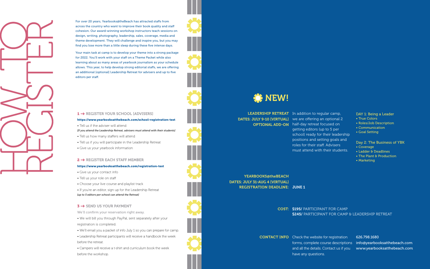#### https://www.yearbooksatthebeach.com/school-registration-test

- Tell us if the adviser will attend
- *[If you attend the Leadership Retreat, advisers must attend with their students]*
- Tell us how many staffers will attend
- Tell us if you will participate in the Leadership Retreat
- Give us your yearbook information

#### 2 → REGISTER EACH STAFF MEMBER

#### https://www.yearbooksatthebeach.com/registration-test

- Give us your contact info
- Tell us your role on staff
- Choose your live course and playlist track

**CONTACT INFO** Check the website for registration 626.798.1680 and all the details. Contact us if you have any questions.

- 
- 
- 
- 
- 
- 
- 

• If you're an editor, sign up for the Leadership Retreat *[up to 5 editors per school can attend the Retreat]*

#### 3 → SEND US YOUR PAYMENT

We'll confirm your reservation right away.

• We will bill you through PayPal, sent separately after your registration is completed.

**OPTIONAL ADD-ON** half-day retreat focused on getting editors (up to 5 per school) ready for their leadership positions and setting goals and roles for their staff. Advisers must attend with their students.

• We'll email you a packet of info July 1 so you can prepare for camp.

forms, complete course descriptions info@yearbooksatthebeach.com www.yearbooksatthebeach.com

• Leadership Retreat participants will receive a handbook the week before the retreat.

• Campers will receive a t-shirt and curriculum book the week before the workshop.

YEARBOOKS@theBEACH DATES: JULY 31-AUG 4 [VIRTUAL] REGISTRATION DEADLINE: JUNE 1

> COST: \$195/ PARTICIPANT FOR CAMP \$245/ PARTICIPANT FOR CAMP & LEADERSHIP RETREAT

For over 20 years, Yearbooks@theBeach has attracted staffs from across the country who want to improve their book quality and staff cohesion. Our award-winning workshop instructors teach sessions on design, writing, photography, leadership, sales, coverage, media and theme development. They will challenge and inspire you, but you may find you lose more than a little sleep during these five intense days.

Your main task at camp is to develop your theme into a strong package for 2022. You'll work with your staff on a Theme Packet while also learning about as many areas of yearbook journalism as your schedule allows. This year, to help develop strong editorial staffs, we are offering an additional [optional] Leadership Retreat for advisers and up to five editors per staff.

#### 1 → REGISTER YOUR SCHOOL [ADVISERS]

#### DAY 1: Being a Leader

- True Colors
- Roles/Job Description
- Communication
- Goal Setting

#### Day 2: The Business of YBK

- Coverage
- Ladder & Deadlines
- The Plant & Production
- Marketing



LEADERSHIP RETREAT In addition to regular camp, DATES: JULY 9-10 [VIRTUAL] we are offering an optional 2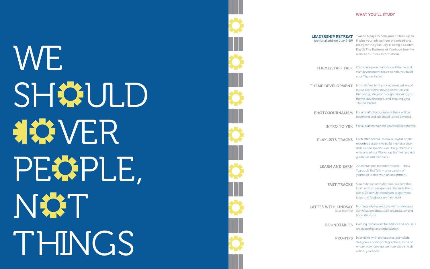#### WHAT YOU'LL STUDY



# **WE** SH#ULD **HOVER** PEOPLE,<br>NOT THINGS



Two half-days to help your editors (up to 5, plus your adviser) get organized and  *(optional add-on July 9-10)* ready for the year. Day 1: Being a Leader, Day 2: The Business of Yearbook (see the website for more information).

- **THEME/STAFF TALK** 20-minute presentations on 4 theme and staff development topics to help you build your Theme Packet.
	- Most staffers (and your adviser) will enroll in our live theme development course that will guide you through choosing your theme, developing it, and creating your Theme Packet.
	- For all staff photographers, there will be beginning and advanced topics covered.
	- INTRO TO YBK For all staffers with no yearbook experience.
- PLAYLISTS TRACKS Each attendee will follow a Playlist of prerecorded sessions to build their yearbook skills in one specific area. Daily check-ins with one of our Workshop Staff will provide guidance and feedback.
- 20-minute pre-recorded videos think Yearbook Ted Talk — on a variety of yearbook topics, with an assignment. LEARN AND EARN
	- FAST TRACKS 5-minute pre-recorded skill-builders that finish with an assignment. Students then join a 30-minute discussion to get more ideas and feedback on their work.
- LATTES WITH LINDSAY Morning adviser sessions with coffee and<br>*(and friends)* conversation about staff organization and (and friends) conversation about staff organization and book structure.
	- ROUNDTABLES Evening discussions for editors and advisers on leadership and organization.
		- **PRO-TIPS** Interviews with professional journalists, designers and/or photographers, some of whom may have gotten their start in high school yearbook.

LEADERSHIP RETREAT

THEME DEVELOPMENT

PHOTOJOURNALISM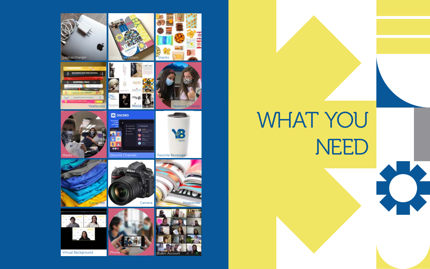WHAT YOU



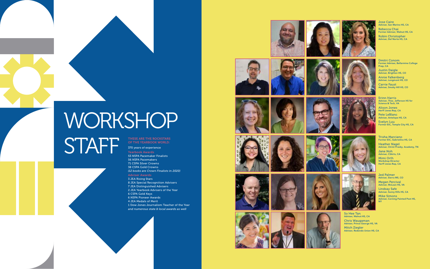## WORKSHOP STAFF

THESE ARE THE ROCKSTARS<br>OF THE YEARBOOK WORLD:

370 years of experience Yearbook Awards

53 NSPA Pacemaker Finalists 56 NSPA Pacemakers 71 CSPA Silver Crowns 38 CSPA Gold Crowns *(12 books are Crown Finalists in 2020)*

Adviser Awards 3 JEA Rising Stars 8 JEA Special Recognition Advisers 7 JEA Distinguished Advisers 2 JEA Yearbook Advisers of the Year 6 CSPA Gold Keys 6 NSPA Pioneer Awards 4 JEA Medals of Merit 1 Dow Jones Journalism Teacher of the Year *and numerous state & local awards as well*



























Jose Caire Adviser, San Marino HS, CA Rebecca Chai Former Adviser, Walnut HS, CA Robin Christopher Adviser, Del Norte HS, CA









Dmitri Conom Former Adviser, Bellarmine College Prep, CA Justin Daigle Adviser, Brighton HS, CO

Annie Falkenberg Adviser, Longmont HS, CO Carrie Faust Adviser, Smoky Hill HS, CO

Erinn Harris Adviser, Thos. Jefferson HS for Science & Tech, VA

Alison Jones Herff Jones Rep, CA

Pete LeBlanc Adviser, Antelope HS, CA

Evelyn Luu Former EIC, Temple City HS, CA

#### Trisha Marciano Former EIC, Gabrielino HS, CA

Heather Nagel Adviser, Christ Presby. Academy, TN

Jane Noh Adviser, CSArts, CA

Mimi Orth Workshop Director Herff Jones Rep, CA

Jed Palmer Adviser, Sierra MS, CO Megan Percival

Adviser, McLean HS, VA

Lindsay Safe Adviser, Sunny Hills HS, CA Mike Simons Adviser, Corning Painted Post HS, NY

So Hee Tan Adviser, Walnut HS, CA Chris Waugaman Adviser, Prince George HS, VA Mitch Ziegler Adviser, Redondo Union HS, CA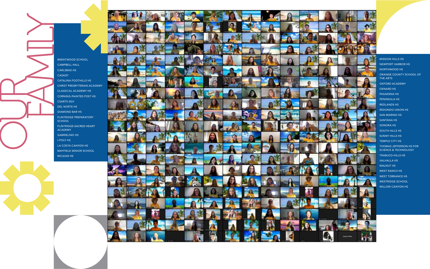BRENTWOOD SCHOOL CAMPBELL HALL CARLSBAD HS CASADY CATALINA FOOTHILLS HS CHRIST PRESBYTERIAN ACADEMY CLASSICAL ACADEMY HS CORNING-PAINTED POST HS CSARTS-SGV DEL NORTE HS DIAMOND BAR HS FLINTRIDGE PREPARATORY **SCHOOL** FLINTRIDGE-SACRED HEART ACADEMY GABRIELINO HS I-POLY HS LA COSTA CANYON HS MAYFIELD SENIOR SCHOOL MCLEAN HS





MISSION HILLS HS NEWPORT HARBOR HS NORTHWOOD HS ORANGE COUNTY SCHOOL OF THE ARTS OXFORD ACADEMY OXNARD HS PASADENA HS PENINSULA HS REDLANDS HS REDONDO UNION HS SAN MARINO HS SANTANA HS SONORA HS SOUTH HILLS HS SUNNY HILLS HS TEMPLE CITY HS THOMAS JEFFERSON HS FOR SCIENCE & TECHNOLOGY TRABUCO HILLS HS VALHALLA HS WALNUT HS WEST RANCH HS WEST TORRANCE HS WESTRIDGE SCHOOL WILLOW CANYON HS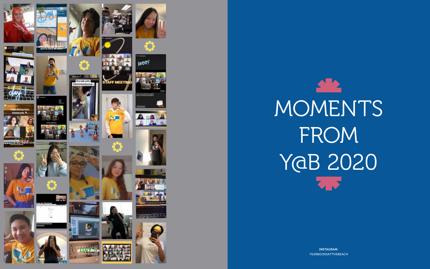

 $\mathbf{A}$ MOMENTS FROM YaB 2020

> **INSTAGRAM: YEARBOOKSATTHEBEACH**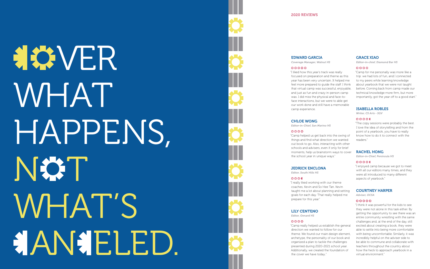#### EDWARD GARCIA

*Coverage Manager, Walnut HS*

#### $00000$

"I liked how this year's track was really focused on preparation and theme as this year has been very uncertain. It helped me feel more prepared to guide the staff. I think that virtual camp was successful, enjoyable, and just as fun and crazy in-person camp was. I did miss the physical and face-toface interactions, but we were to able get our work done and still have a memorable camp experience.

#### CHLOE WONG

*Editor-in-Chief, San Marino HS*

#### $0000$

"Camp helped us get back into the swing of things and find what direction we wanted out book to go. Also, interacting with other schools and advisers, even if only for brief moments, help us brainstorm ways to cover the school year in unique ways."

#### JEDRICK ENCLONA

*Editor, South Hills HS*

#### $0004$

"I really liked working with our theme coaches, Kevin and So Hee Tan. Kevin taught me a lot about planning and setting goals for each day. That really helped me prepare for this year."

#### LILY CENTENO

*Editor, Oxnard HS*

#### $0000$

"Camp really helped us establish the general direction we wanted to follow for our theme. We found our main design element, archetype, the personality of our book and organized a plan to tackle the challenges presented during 2020-2021 school year. Additionally, we created the foundation of the cover we have today.."

#### GRACE XIAO

## **HOVER** WHAT HAPPENS,<br>N&T WHAT'S AN ELED.



*Editor-in-chief, Diamond Bar HS*

#### $0000$

"Camp for me personally was more like a trip: we had lots of fun, and I connected to my peers while learning knowledge about yearbook that we were not taught before. Coming back from camp made our technical knowledge more firm, but more importantly, got the year off to a good start."

#### ISABELLA ROBLES

*Writer, CS Arts - SGV*

#### $00004$

"The copy sessions were probably the best. I love the idea of storytelling and from the point of a yearbook, you have to really know how to do it to connect with the readers."

#### RACHEL HONG

*Editor-in-Chief, Peninsula HS*

#### $00001$

"I enjoyed camp because we got to meet with all our editors many times, and they were all introduced to many different aspects of yearbook."

#### COURTNEY HARPER

#### *Adviser, OCSA*

#### $00000$

"I think it was powerful for the kids to see they were not alone in this task either. By getting the opportunity to see there was an entire community wrestling with the same challenges and, at the end of the day, still excited about creating a book, they were able to settle into being more comfortable with being uncomfortable. Similarly, it was incredibly helpful on the adviser side to be able to commune and collaborate with teachers throughout the country about how the heck to approach yearbook in a virtual environment."